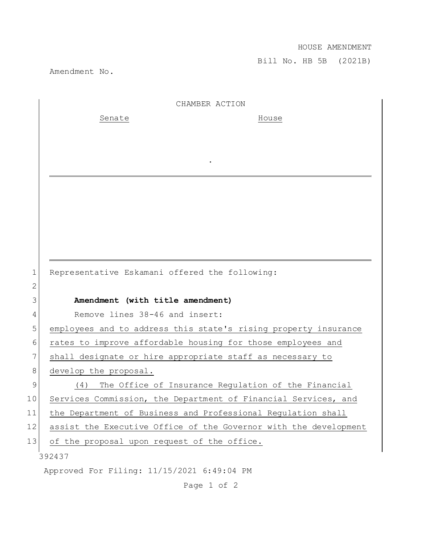## HOUSE AMENDMENT

Bill No. HB 5B (2021B)

Amendment No.

|    | CHAMBER ACTION                                                   |
|----|------------------------------------------------------------------|
|    | Senate<br>House                                                  |
|    |                                                                  |
|    |                                                                  |
|    |                                                                  |
|    |                                                                  |
|    |                                                                  |
|    |                                                                  |
|    |                                                                  |
|    |                                                                  |
|    |                                                                  |
| 1  | Representative Eskamani offered the following:                   |
| 2  |                                                                  |
| 3  | Amendment (with title amendment)                                 |
| 4  | Remove lines 38-46 and insert:                                   |
| 5  | employees and to address this state's rising property insurance  |
| 6  | rates to improve affordable housing for those employees and      |
| 7  | shall designate or hire appropriate staff as necessary to        |
| 8  | develop the proposal.                                            |
| 9  | The Office of Insurance Regulation of the Financial<br>(4)       |
| 10 | Services Commission, the Department of Financial Services, and   |
| 11 | the Department of Business and Professional Regulation shall     |
| 12 | assist the Executive Office of the Governor with the development |
| 13 | of the proposal upon request of the office.                      |
|    | 392437                                                           |
|    | Approved For Filing: 11/15/2021 6:49:04 PM                       |

Page 1 of 2